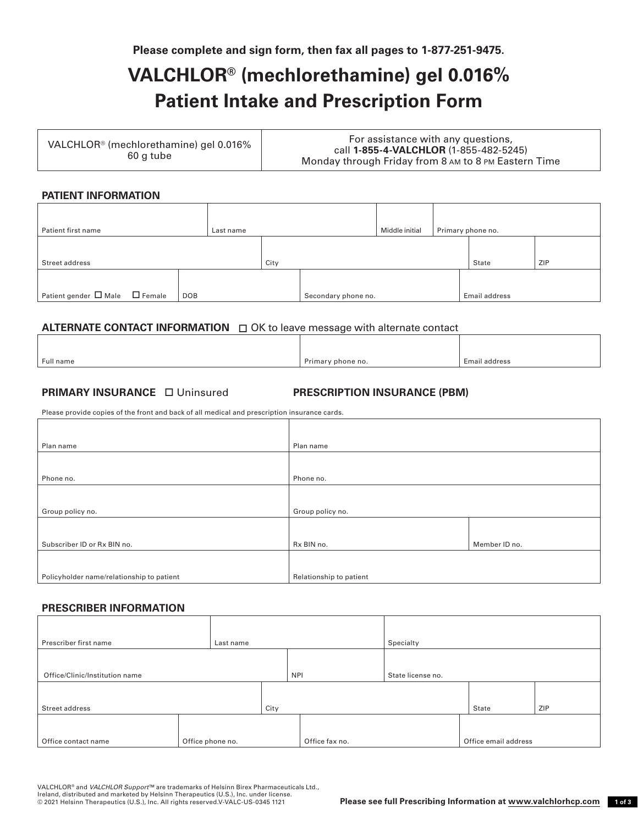**Please complete and sign form, then fax all pages to 1-877-251-9475.** 

# **VALCHLOR® (mechlorethamine) gel 0.016% Patient Intake and Prescription Form**

| VALCHLOR <sup>®</sup> (mechlorethamine) gel 0.016%<br>60 g tube | For assistance with any questions,                   |  |  |
|-----------------------------------------------------------------|------------------------------------------------------|--|--|
|                                                                 | call 1-855-4-VALCHLOR (1-855-482-5245)               |  |  |
|                                                                 | Monday through Friday from 8 AM to 8 PM Eastern Time |  |  |

## **PATIENT INFORMATION**

| Patient first name                       | Last name |      |                     | Middle initial | Primary phone no. |
|------------------------------------------|-----------|------|---------------------|----------------|-------------------|
| Street address                           |           | City |                     |                | ZIP<br>State      |
| Patient gender $\Box$ Male $\Box$ Female | DOB       |      | Secondary phone no. |                | Email address     |

## **ALTERNATE CONTACT INFORMATION**  $\Box$  OK to leave message with alternate contact

| Full name | Primary phone no. | Email address |
|-----------|-------------------|---------------|

# **PRIMARY INSURANCE**  Uninsured **PRESCRIPTION INSURANCE (PBM)**

Please provide copies of the front and back of all medical and prescription insurance cards.

| Plan name                                 | Plan name               |               |
|-------------------------------------------|-------------------------|---------------|
|                                           |                         |               |
| Phone no.                                 | Phone no.               |               |
|                                           |                         |               |
| Group policy no.                          | Group policy no.        |               |
|                                           |                         |               |
| Subscriber ID or Rx BIN no.               | Rx BIN no.              | Member ID no. |
|                                           |                         |               |
| Policyholder name/relationship to patient | Relationship to patient |               |

#### **PRESCRIBER INFORMATION**

| Prescriber first name          | Last name        |      |                | Specialty         |                      |
|--------------------------------|------------------|------|----------------|-------------------|----------------------|
|                                |                  |      |                |                   |                      |
| Office/Clinic/Institution name |                  |      | <b>NPI</b>     | State license no. |                      |
|                                |                  |      |                |                   |                      |
| Street address                 |                  | City |                |                   | ZIP<br>State         |
|                                |                  |      |                |                   |                      |
| Office contact name            | Office phone no. |      | Office fax no. |                   | Office email address |

VALCHLOR® and *VALCHLOR Support*™ are trademarks of Helsinn Birex Pharmaceuticals Ltd., Ireland, distributed and marketed by Helsinn Therapeutics (U.S.), Inc. under license.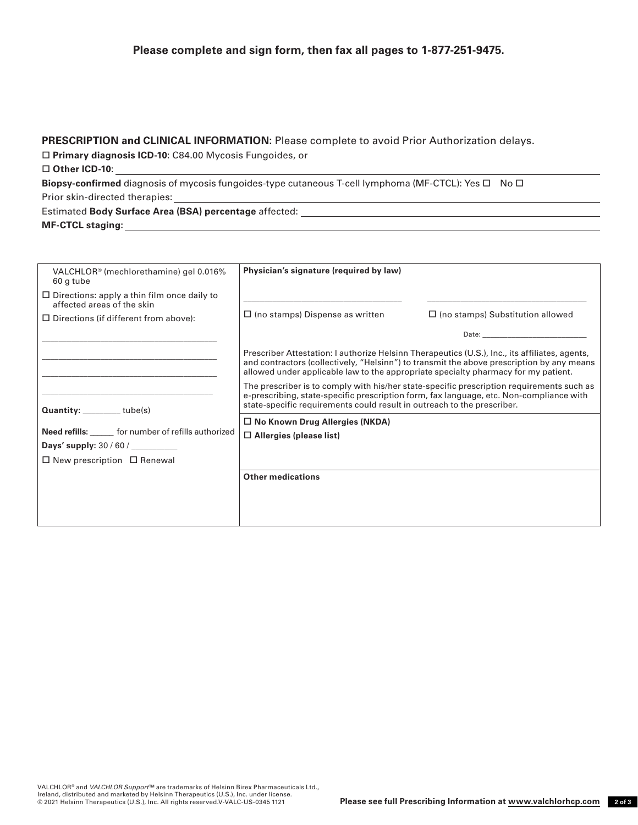# **Please complete and sign form, then fax all pages to 1-877-251-9475.**

#### **PRESCRIPTION and CLINICAL INFORMATION:** Please complete to avoid Prior Authorization delays.

**Primary diagnosis ICD-10**: C84.00 Mycosis Fungoides, or

#### **Other ICD-10**:

Biopsy-confirmed diagnosis of mycosis fungoides-type cutaneous T-cell lymphoma (MF-CTCL): Yes  $\Box$  No  $\Box$ Prior skin-directed therapies:

Estimated **Body Surface Area (BSA) percentage** affected: **MF-CTCL staging:** 

| VALCHLOR <sup>®</sup> (mechlorethamine) gel 0.016%<br>60 g tube                  | Physician's signature (required by law)                                                                                                                                                                                                                                           |                                                                                                                                                                                                                                |  |  |
|----------------------------------------------------------------------------------|-----------------------------------------------------------------------------------------------------------------------------------------------------------------------------------------------------------------------------------------------------------------------------------|--------------------------------------------------------------------------------------------------------------------------------------------------------------------------------------------------------------------------------|--|--|
| $\Box$ Directions: apply a thin film once daily to<br>affected areas of the skin |                                                                                                                                                                                                                                                                                   |                                                                                                                                                                                                                                |  |  |
| $\Box$ Directions (if different from above):                                     | $\Box$ (no stamps) Dispense as written                                                                                                                                                                                                                                            | $\Box$ (no stamps) Substitution allowed                                                                                                                                                                                        |  |  |
|                                                                                  |                                                                                                                                                                                                                                                                                   | Date: the contract of the contract of the contract of the contract of the contract of the contract of the contract of the contract of the contract of the contract of the contract of the contract of the contract of the cont |  |  |
|                                                                                  | Prescriber Attestation: I authorize Helsinn Therapeutics (U.S.), Inc., its affiliates, agents,<br>and contractors (collectively, "Helsinn") to transmit the above prescription by any means<br>allowed under applicable law to the appropriate specialty pharmacy for my patient. |                                                                                                                                                                                                                                |  |  |
| Quantity: ________tube(s)                                                        | The prescriber is to comply with his/her state-specific prescription requirements such as<br>e-prescribing, state-specific prescription form, fax language, etc. Non-compliance with<br>state-specific requirements could result in outreach to the prescriber.                   |                                                                                                                                                                                                                                |  |  |
| Need refills: ______ for number of refills authorized                            | □ No Known Drug Allergies (NKDA)<br>$\Box$ Allergies (please list)                                                                                                                                                                                                                |                                                                                                                                                                                                                                |  |  |
| $\Box$ New prescription $\Box$ Renewal                                           |                                                                                                                                                                                                                                                                                   |                                                                                                                                                                                                                                |  |  |
|                                                                                  | <b>Other medications</b>                                                                                                                                                                                                                                                          |                                                                                                                                                                                                                                |  |  |
|                                                                                  |                                                                                                                                                                                                                                                                                   |                                                                                                                                                                                                                                |  |  |
|                                                                                  |                                                                                                                                                                                                                                                                                   |                                                                                                                                                                                                                                |  |  |
|                                                                                  |                                                                                                                                                                                                                                                                                   |                                                                                                                                                                                                                                |  |  |